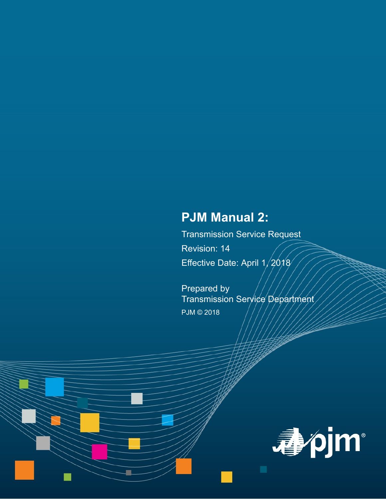# <span id="page-0-0"></span>**PJM Manual 2:**

Transmission Service Request Revision: 14 Effective Date: April 1/2018

Prepared by Transmission Service Department PJM © 2018

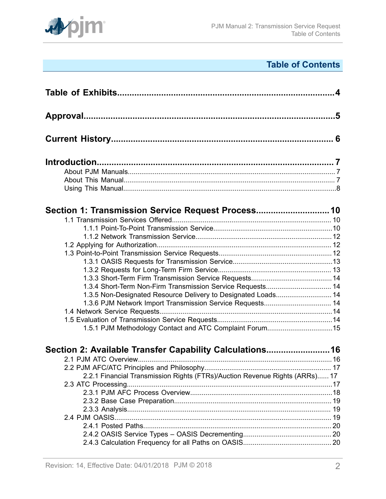

# **Table of Contents**

| Section 1: Transmission Service Request Process 10                          |  |
|-----------------------------------------------------------------------------|--|
|                                                                             |  |
|                                                                             |  |
|                                                                             |  |
|                                                                             |  |
|                                                                             |  |
|                                                                             |  |
|                                                                             |  |
|                                                                             |  |
|                                                                             |  |
| 1.3.5 Non-Designated Resource Delivery to Designated Loads 14               |  |
|                                                                             |  |
|                                                                             |  |
|                                                                             |  |
|                                                                             |  |
| Section 2: Available Transfer Capability Calculations16                     |  |
|                                                                             |  |
|                                                                             |  |
| 2.2.1 Financial Transmission Rights (FTRs)/Auction Revenue Rights (ARRs) 17 |  |
|                                                                             |  |
|                                                                             |  |
|                                                                             |  |
|                                                                             |  |
|                                                                             |  |
|                                                                             |  |
|                                                                             |  |
|                                                                             |  |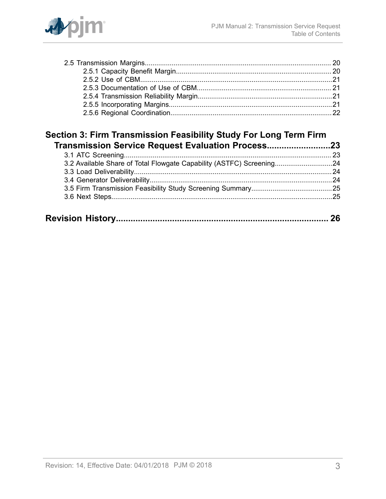

# **Section 3: Firm [Transmission](#page-22-0) Feasibility Study For Long Term Firm Transmission Service Request Evaluation [Process..........................23](#page-22-0)**

| 3.2 Available Share of Total Flowgate Capability (ASTFC) Screening24 |  |
|----------------------------------------------------------------------|--|
|                                                                      |  |
|                                                                      |  |
|                                                                      |  |
|                                                                      |  |
|                                                                      |  |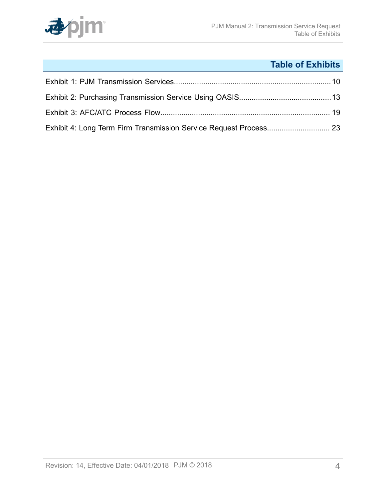

# **Table of Exhibits**

<span id="page-3-0"></span>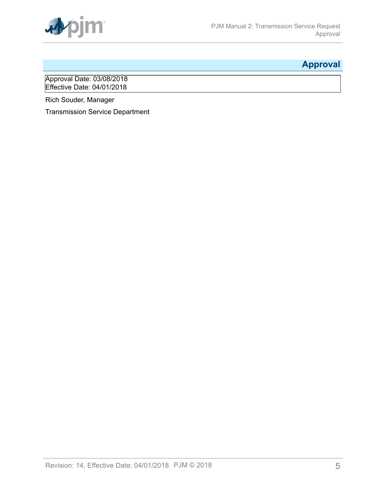

# <span id="page-4-0"></span>**Approval**

Approval Date: 03/08/2018 Effective Date: 04/01/2018

Rich Souder, Manager

Transmission Service Department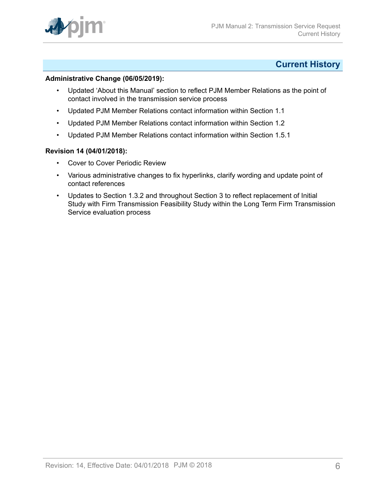

# <span id="page-5-0"></span>**Current History**

#### **Administrative Change (06/05/2019):**

- Updated 'About this Manual' section to reflect PJM Member Relations as the point of contact involved in the transmission service process
- Updated PJM Member Relations contact information within Section 1.1
- Updated PJM Member Relations contact information within Section 1.2
- Updated PJM Member Relations contact information within Section 1.5.1

#### **Revision 14 (04/01/2018):**

- Cover to Cover Periodic Review
- Various administrative changes to fix hyperlinks, clarify wording and update point of contact references
- Updates to Section 1.3.2 and throughout Section 3 to reflect replacement of Initial Study with Firm Transmission Feasibility Study within the Long Term Firm Transmission Service evaluation process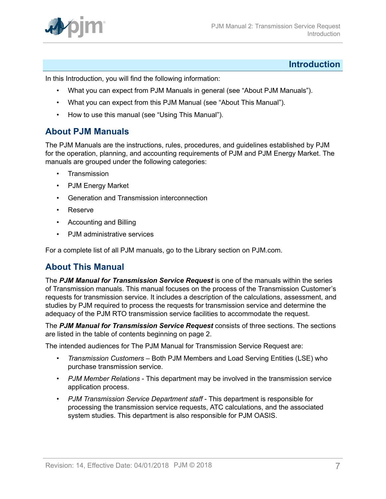

## <span id="page-6-0"></span>**Introduction**

In this Introduction, you will find the following information:

- What you can expect from PJM Manuals in general (see "About PJM Manuals").
- What you can expect from this PJM Manual (see "About This Manual").
- How to use this manual (see "Using This Manual").

# <span id="page-6-1"></span>**About PJM Manuals**

The PJM Manuals are the instructions, rules, procedures, and guidelines established by PJM for the operation, planning, and accounting requirements of PJM and PJM Energy Market. The manuals are grouped under the following categories:

- **Transmission**
- PJM Energy Market
- Generation and Transmission interconnection
- Reserve
- Accounting and Billing
- PJM administrative services

For a complete list of all PJM manuals, go to the Library section on PJM.com.

# <span id="page-6-2"></span>**About This Manual**

The *PJM Manual for Transmission Service Request* is one of the manuals within the series of Transmission manuals. This manual focuses on the process of the Transmission Customer's requests for transmission service. It includes a description of the calculations, assessment, and studies by PJM required to process the requests for transmission service and determine the adequacy of the PJM RTO transmission service facilities to accommodate the request.

The *PJM Manual for Transmission Service Request* consists of three sections. The sections are listed in the table of contents beginning on page 2.

The intended audiences for The PJM Manual for Transmission Service Request are:

- *Transmission Customers* Both PJM Members and Load Serving Entities (LSE) who purchase transmission service.
- *PJM Member Relations* This department may be involved in the transmission service application process.
- *PJM Transmission Service Department staff* This department is responsible for processing the transmission service requests, ATC calculations, and the associated system studies. This department is also responsible for PJM OASIS.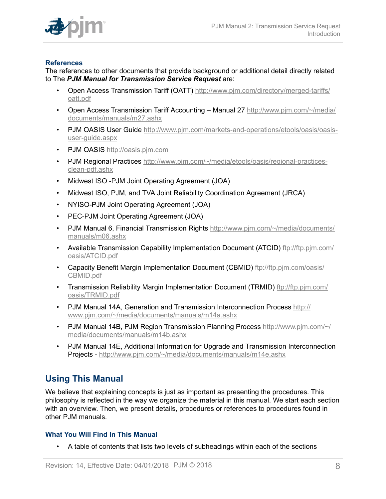

### **References**

The references to other documents that provide background or additional detail directly related to The *PJM Manual for Transmission Service Request* are:

- Open Access Transmission Tariff (OATT) [http://www.pjm.com/directory/merged-tariffs/](http://www.pjm.com/directory/merged-tariffs/oatt.pdf) [oatt.pdf](http://www.pjm.com/directory/merged-tariffs/oatt.pdf)
- Open Access Transmission Tariff Accounting Manual 27 [http://www.pjm.com/~/media/](http://www.pjm.com/~/media/documents/manuals/m27.ashx) [documents/manuals/m27.ashx](http://www.pjm.com/~/media/documents/manuals/m27.ashx)
- PJM OASIS User Guide [http://www.pjm.com/markets-and-operations/etools/oasis/oasis](http://www.pjm.com/markets-and-operations/etools/oasis/oasis-user-guide.aspx)[user-guide.aspx](http://www.pjm.com/markets-and-operations/etools/oasis/oasis-user-guide.aspx)
- PJM OASIS http://oasis.pim.com
- PJM Regional Practices [http://www.pjm.com/~/media/etools/oasis/regional-practices](http://www.pjm.com/~/media/etools/oasis/regional-practices-clean-pdf.ashx)[clean-pdf.ashx](http://www.pjm.com/~/media/etools/oasis/regional-practices-clean-pdf.ashx)
- Midwest ISO -PJM Joint Operating Agreement (JOA)
- Midwest ISO, PJM, and TVA Joint Reliability Coordination Agreement (JRCA)
- NYISO-PJM Joint Operating Agreement (JOA)
- PEC-PJM Joint Operating Agreement (JOA)
- PJM Manual 6, Financial Transmission Rights [http://www.pjm.com/~/media/documents/](http://www.pjm.com/~/media/documents/manuals/m06.ashx) [manuals/m06.ashx](http://www.pjm.com/~/media/documents/manuals/m06.ashx)
- Available Transmission Capability Implementation Document (ATCID) [ftp://ftp.pjm.com/](#page-0-0) [oasis/ATCID.pdf](#page-0-0)
- Capacity Benefit Margin Implementation Document (CBMID) [ftp://ftp.pjm.com/oasis/](#page-0-0) [CBMID.pdf](#page-0-0)
- Transmission Reliability Margin Implementation Document (TRMID) [ftp://ftp.pjm.com/](#page-0-0) [oasis/TRMID.pdf](#page-0-0)
- PJM Manual 14A, Generation and Transmission Interconnection Process [http://](http://www.pjm.com/~/media/documents/manuals/m14a.ashx) [www.pjm.com/~/media/documents/manuals/m14a.ashx](http://www.pjm.com/~/media/documents/manuals/m14a.ashx)
- PJM Manual 14B, PJM Region Transmission Planning Process [http://www.pjm.com/~/](http://www.pjm.com/~/media/documents/manuals/m14b.ashx) [media/documents/manuals/m14b.ashx](http://www.pjm.com/~/media/documents/manuals/m14b.ashx)
- PJM Manual 14E, Additional Information for Upgrade and Transmission Interconnection Projects -<http://www.pjm.com/~/media/documents/manuals/m14e.ashx>

# <span id="page-7-0"></span>**Using This Manual**

We believe that explaining concepts is just as important as presenting the procedures. This philosophy is reflected in the way we organize the material in this manual. We start each section with an overview. Then, we present details, procedures or references to procedures found in other PJM manuals.

### **What You Will Find In This Manual**

• A table of contents that lists two levels of subheadings within each of the sections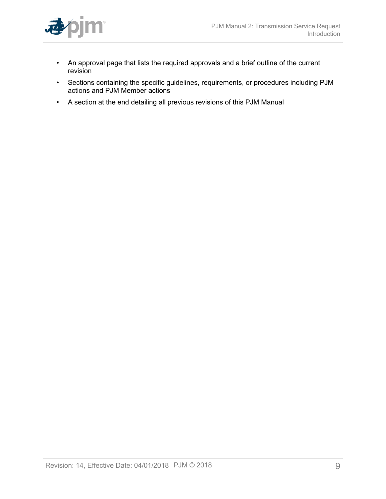

- An approval page that lists the required approvals and a brief outline of the current revision
- Sections containing the specific guidelines, requirements, or procedures including PJM actions and PJM Member actions
- A section at the end detailing all previous revisions of this PJM Manual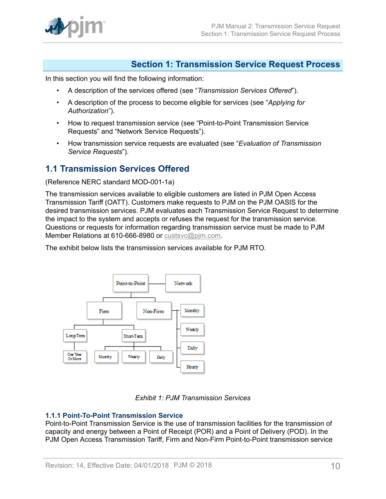

## <span id="page-9-0"></span>**Section 1: Transmission Service Request Process**

In this section you will find the following information:

- A description of the services offered (see "*Transmission Services Offered*").
- A description of the process to become eligible for services (see "*Applying for Authorization*").
- How to request transmission service (see "Point-to-Point Transmission Service Requests" and "Network Service Requests").
- How transmission service requests are evaluated (see "*Evaluation of Transmission Service Requests*").

# <span id="page-9-1"></span>**1.1 Transmission Services Offered**

(Reference NERC standard MOD-001-1a)

The transmission services available to eligible customers are listed in PJM Open Access Transmission Tariff (OATT). Customers make requests to PJM on the PJM OASIS for the desired transmission services. PJM evaluates each Transmission Service Request to determine the impact to the system and accepts or refuses the request for the transmission service. Questions or requests for information regarding transmission service must be made to PJM Member Relations at 610-666-8980 or [custsvc@pjm.com](mailto:custsvc@pjm.com).

<span id="page-9-3"></span>The exhibit below lists the transmission services available for PJM RTO.



*Exhibit 1: PJM Transmission Services*

### <span id="page-9-2"></span>**1.1.1 Point-To-Point Transmission Service**

Point-to-Point Transmission Service is the use of transmission facilities for the transmission of capacity and energy between a Point of Receipt (POR) and a Point of Delivery (POD). In the PJM Open Access Transmission Tariff, Firm and Non-Firm Point-to-Point transmission service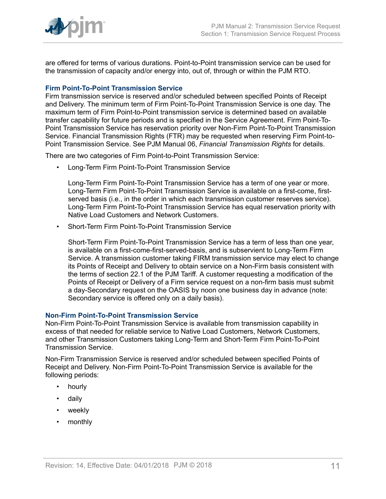

are offered for terms of various durations. Point-to-Point transmission service can be used for the transmission of capacity and/or energy into, out of, through or within the PJM RTO.

### **Firm Point-To-Point Transmission Service**

Firm transmission service is reserved and/or scheduled between specified Points of Receipt and Delivery. The minimum term of Firm Point-To-Point Transmission Service is one day. The maximum term of Firm Point-to-Point transmission service is determined based on available transfer capability for future periods and is specified in the Service Agreement. Firm Point-To-Point Transmission Service has reservation priority over Non-Firm Point-To-Point Transmission Service. Financial Transmission Rights (FTR) may be requested when reserving Firm Point-to-Point Transmission Service. See PJM Manual 06, *Financial Transmission Rights* for details.

There are two categories of Firm Point-to-Point Transmission Service:

• Long-Term Firm Point-To-Point Transmission Service

Long-Term Firm Point-To-Point Transmission Service has a term of one year or more. Long-Term Firm Point-To-Point Transmission Service is available on a first-come, firstserved basis (i.e., in the order in which each transmission customer reserves service). Long-Term Firm Point-To-Point Transmission Service has equal reservation priority with Native Load Customers and Network Customers.

• Short-Term Firm Point-To-Point Transmission Service

Short-Term Firm Point-To-Point Transmission Service has a term of less than one year, is available on a first-come-first-served-basis, and is subservient to Long-Term Firm Service. A transmission customer taking FIRM transmission service may elect to change its Points of Receipt and Delivery to obtain service on a Non-Firm basis consistent with the terms of section 22.1 of the PJM Tariff. A customer requesting a modification of the Points of Receipt or Delivery of a Firm service request on a non-firm basis must submit a day-Secondary request on the OASIS by noon one business day in advance (note: Secondary service is offered only on a daily basis).

#### **Non-Firm Point-To-Point Transmission Service**

Non-Firm Point-To-Point Transmission Service is available from transmission capability in excess of that needed for reliable service to Native Load Customers, Network Customers, and other Transmission Customers taking Long-Term and Short-Term Firm Point-To-Point Transmission Service.

Non-Firm Transmission Service is reserved and/or scheduled between specified Points of Receipt and Delivery. Non-Firm Point-To-Point Transmission Service is available for the following periods:

- hourly
- daily
- weekly
- monthly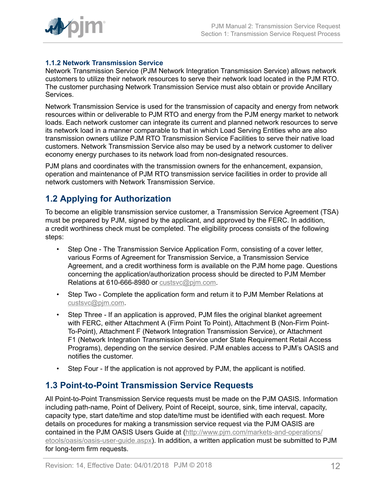

## <span id="page-11-0"></span>**1.1.2 Network Transmission Service**

Network Transmission Service (PJM Network Integration Transmission Service) allows network customers to utilize their network resources to serve their network load located in the PJM RTO. The customer purchasing Network Transmission Service must also obtain or provide Ancillary Services.

Network Transmission Service is used for the transmission of capacity and energy from network resources within or deliverable to PJM RTO and energy from the PJM energy market to network loads. Each network customer can integrate its current and planned network resources to serve its network load in a manner comparable to that in which Load Serving Entities who are also transmission owners utilize PJM RTO Transmission Service Facilities to serve their native load customers. Network Transmission Service also may be used by a network customer to deliver economy energy purchases to its network load from non-designated resources.

PJM plans and coordinates with the transmission owners for the enhancement, expansion, operation and maintenance of PJM RTO transmission service facilities in order to provide all network customers with Network Transmission Service.

# <span id="page-11-1"></span>**1.2 Applying for Authorization**

To become an eligible transmission service customer, a Transmission Service Agreement (TSA) must be prepared by PJM, signed by the applicant, and approved by the FERC. In addition, a credit worthiness check must be completed. The eligibility process consists of the following steps:

- Step One The Transmission Service Application Form, consisting of a cover letter, various Forms of Agreement for Transmission Service, a Transmission Service Agreement, and a credit worthiness form is available on the PJM home page. Questions concerning the application/authorization process should be directed to PJM Member Relations at 610-666-8980 or [custsvc@pjm.com.](mailto:custsvc@pjm.com)
- Step Two Complete the application form and return it to PJM Member Relations at [custsvc@pjm.com](mailto:custsvc@pjm.com).
- Step Three If an application is approved, PJM files the original blanket agreement with FERC, either Attachment A (Firm Point To Point), Attachment B (Non-Firm Point-To-Point), Attachment F (Network Integration Transmission Service), or Attachment F1 (Network Integration Transmission Service under State Requirement Retail Access Programs), depending on the service desired. PJM enables access to PJM's OASIS and notifies the customer.
- Step Four If the application is not approved by PJM, the applicant is notified.

# <span id="page-11-2"></span>**1.3 Point-to-Point Transmission Service Requests**

All Point-to-Point Transmission Service requests must be made on the PJM OASIS. Information including path-name, Point of Delivery, Point of Receipt, source, sink, time interval, capacity, capacity type, start date/time and stop date/time must be identified with each request. More details on procedures for making a transmission service request via the PJM OASIS are contained in the PJM OASIS Users Guide at [\(http://www.pjm.com/markets-and-operations/](http://www.pjm.com/markets-and-operations/etools/oasis/oasis-user-guide.aspx) [etools/oasis/oasis-user-guide.aspx\)](http://www.pjm.com/markets-and-operations/etools/oasis/oasis-user-guide.aspx). In addition, a written application must be submitted to PJM for long-term firm requests.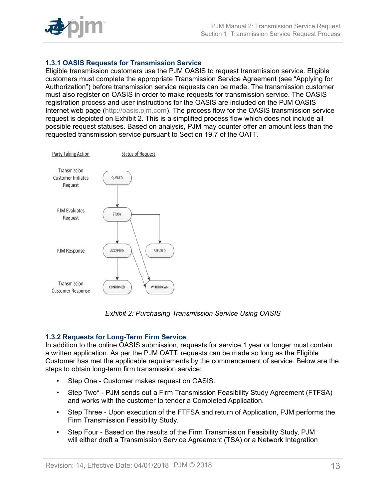

## <span id="page-12-0"></span>**1.3.1 OASIS Requests for Transmission Service**

Eligible transmission customers use the PJM OASIS to request transmission service. Eligible customers must complete the appropriate Transmission Service Agreement (see "Applying for Authorization") before transmission service requests can be made. The transmission customer must also register on OASIS in order to make requests for transmission service. The OASIS registration process and user instructions for the OASIS are included on the PJM OASIS Internet web page ([http://oasis.pjm.com](http://oasis.pjm.com/)). The process flow for the OASIS transmission service request is depicted on Exhibit 2. This is a simplified process flow which does not include all possible request statuses. Based on analysis, PJM may counter offer an amount less than the requested transmission service pursuant to Section 19.7 of the OATT.

<span id="page-12-2"></span>

*Exhibit 2: Purchasing Transmission Service Using OASIS*

### <span id="page-12-1"></span>**1.3.2 Requests for Long-Term Firm Service**

In addition to the online OASIS submission, requests for service 1 year or longer must contain a written application. As per the PJM OATT, requests can be made so long as the Eligible Customer has met the applicable requirements by the commencement of service. Below are the steps to obtain long-term firm transmission service:

- Step One Customer makes request on OASIS.
- Step Two\* PJM sends out a Firm Transmission Feasibility Study Agreement (FTFSA) and works with the customer to tender a Completed Application.
- Step Three Upon execution of the FTFSA and return of Application, PJM performs the Firm Transmission Feasibility Study.
- Step Four Based on the results of the Firm Transmission Feasibility Study, PJM will either draft a Transmission Service Agreement (TSA) or a Network Integration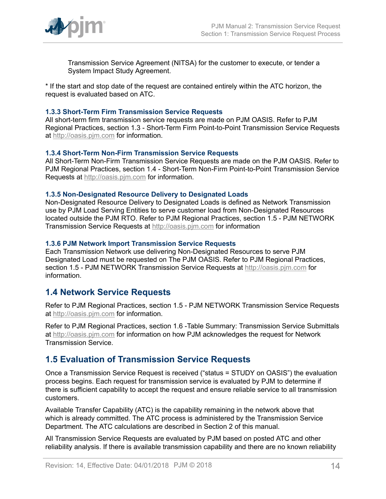

Transmission Service Agreement (NITSA) for the customer to execute, or tender a System Impact Study Agreement.

\* If the start and stop date of the request are contained entirely within the ATC horizon, the request is evaluated based on ATC.

#### <span id="page-13-0"></span>**1.3.3 Short-Term Firm Transmission Service Requests**

All short-term firm transmission service requests are made on PJM OASIS. Refer to PJM Regional Practices, section 1.3 - Short-Term Firm Point-to-Point Transmission Service Requests at [http://oasis.pjm.com](http://oasis.pjm.com/) for information.

#### <span id="page-13-1"></span>**1.3.4 Short-Term Non-Firm Transmission Service Requests**

All Short-Term Non-Firm Transmission Service Requests are made on the PJM OASIS. Refer to PJM Regional Practices, section 1.4 - Short-Term Non-Firm Point-to-Point Transmission Service Requests at [http://oasis.pjm.com](http://oasis.pjm.com/) for information.

#### <span id="page-13-2"></span>**1.3.5 Non-Designated Resource Delivery to Designated Loads**

Non-Designated Resource Delivery to Designated Loads is defined as Network Transmission use by PJM Load Serving Entities to serve customer load from Non-Designated Resources located outside the PJM RTO. Refer to PJM Regional Practices, section 1.5 - PJM NETWORK Transmission Service Requests at [http://oasis.pjm.com](http://oasis.pjm.com/) for information

#### <span id="page-13-3"></span>**1.3.6 PJM Network Import Transmission Service Requests**

Each Transmission Network use delivering Non-Designated Resources to serve PJM Designated Load must be requested on The PJM OASIS. Refer to PJM Regional Practices, section 1.5 - PJM NETWORK Transmission Service Requests at [http://oasis.pjm.com](http://oasis.pjm.com/) for information.

## <span id="page-13-4"></span>**1.4 Network Service Requests**

Refer to PJM Regional Practices, section 1.5 - PJM NETWORK Transmission Service Requests at [http://oasis.pjm.com](http://oasis.pjm.com/) for information.

Refer to PJM Regional Practices, section 1.6 -Table Summary: Transmission Service Submittals at [http://oasis.pjm.com](http://oasis.pjm.com/) for information on how PJM acknowledges the request for Network Transmission Service.

# <span id="page-13-5"></span>**1.5 Evaluation of Transmission Service Requests**

Once a Transmission Service Request is received ("status = STUDY on OASIS") the evaluation process begins. Each request for transmission service is evaluated by PJM to determine if there is sufficient capability to accept the request and ensure reliable service to all transmission customers.

Available Transfer Capability (ATC) is the capability remaining in the network above that which is already committed. The ATC process is administered by the Transmission Service Department. The ATC calculations are described in Section 2 of this manual.

All Transmission Service Requests are evaluated by PJM based on posted ATC and other reliability analysis. If there is available transmission capability and there are no known reliability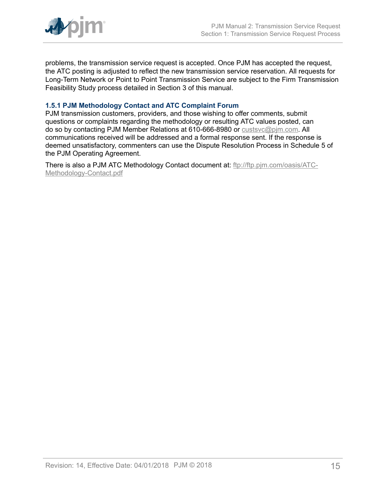

problems, the transmission service request is accepted. Once PJM has accepted the request, the ATC posting is adjusted to reflect the new transmission service reservation. All requests for Long-Term Network or Point to Point Transmission Service are subject to the Firm Transmission Feasibility Study process detailed in Section 3 of this manual.

### <span id="page-14-0"></span>**1.5.1 PJM Methodology Contact and ATC Complaint Forum**

PJM transmission customers, providers, and those wishing to offer comments, submit questions or complaints regarding the methodology or resulting ATC values posted, can do so by contacting PJM Member Relations at 610-666-8980 or [custsvc@pjm.com](mailto:custsvc@pjm.com). All communications received will be addressed and a formal response sent. If the response is deemed unsatisfactory, commenters can use the Dispute Resolution Process in Schedule 5 of the PJM Operating Agreement.

There is also a PJM ATC Methodology Contact document at: [ftp://ftp.pjm.com/oasis/ATC-](#page-0-0)[Methodology-Contact.pdf](#page-0-0)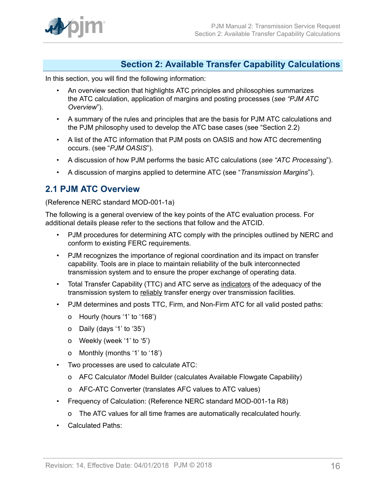

# <span id="page-15-0"></span>**Section 2: Available Transfer Capability Calculations**

In this section, you will find the following information:

- An overview section that highlights ATC principles and philosophies summarizes the ATC calculation, application of margins and posting processes (*see "PJM ATC Overview*").
- A summary of the rules and principles that are the basis for PJM ATC calculations and the PJM philosophy used to develop the ATC base cases (see "Section 2.2)
- A list of the ATC information that PJM posts on OASIS and how ATC decrementing occurs. (see "*PJM OASIS*").
- A discussion of how PJM performs the basic ATC calculations (*see "ATC Processing*").
- A discussion of margins applied to determine ATC (see "*Transmission Margins*").

# <span id="page-15-1"></span>**2.1 PJM ATC Overview**

(Reference NERC standard MOD-001-1a)

The following is a general overview of the key points of the ATC evaluation process. For additional details please refer to the sections that follow and the ATCID.

- PJM procedures for determining ATC comply with the principles outlined by NERC and conform to existing FERC requirements.
- PJM recognizes the importance of regional coordination and its impact on transfer capability. Tools are in place to maintain reliability of the bulk interconnected transmission system and to ensure the proper exchange of operating data.
- Total Transfer Capability (TTC) and ATC serve as indicators of the adequacy of the transmission system to reliably transfer energy over transmission facilities.
- PJM determines and posts TTC, Firm, and Non-Firm ATC for all valid posted paths:
	- o Hourly (hours '1' to '168')
	- o Daily (days '1' to '35')
	- o Weekly (week '1' to '5')
	- o Monthly (months '1' to '18')
- Two processes are used to calculate ATC:
	- o AFC Calculator /Model Builder (calculates Available Flowgate Capability)
	- o AFC-ATC Converter (translates AFC values to ATC values)
- Frequency of Calculation: (Reference NERC standard MOD-001-1a R8)
	- o The ATC values for all time frames are automatically recalculated hourly.
- Calculated Paths: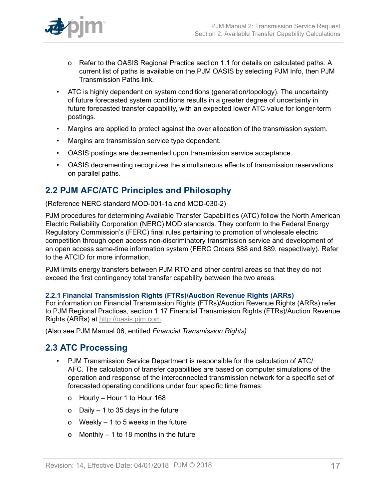

- o Refer to the OASIS Regional Practice section 1.1 for details on calculated paths. A current list of paths is available on the PJM OASIS by selecting PJM Info, then PJM Transmission Paths link.
- ATC is highly dependent on system conditions (generation/topology). The uncertainty of future forecasted system conditions results in a greater degree of uncertainty in future forecasted transfer capability, with an expected lower ATC value for longer-term postings.
- Margins are applied to protect against the over allocation of the transmission system.
- Margins are transmission service type dependent.
- OASIS postings are decremented upon transmission service acceptance.
- OASIS decrementing recognizes the simultaneous effects of transmission reservations on parallel paths.

# <span id="page-16-0"></span>**2.2 PJM AFC/ATC Principles and Philosophy**

(Reference NERC standard MOD-001-1a and MOD-030-2)

PJM procedures for determining Available Transfer Capabilities (ATC) follow the North American Electric Reliability Corporation (NERC) MOD standards. They conform to the Federal Energy Regulatory Commission's (FERC) final rules pertaining to promotion of wholesale electric competition through open access non-discriminatory transmission service and development of an open access same-time information system (FERC Orders 888 and 889, respectively). Refer to the ATCID for more information.

PJM limits energy transfers between PJM RTO and other control areas so that they do not exceed the first contingency total transfer capability between the two areas.

#### <span id="page-16-1"></span>**2.2.1 Financial Transmission Rights (FTRs)/Auction Revenue Rights (ARRs)**

For information on Financial Transmission Rights (FTRs)/Auction Revenue Rights (ARRs) refer to PJM Regional Practices, section 1.17 Financial Transmission Rights (FTRs)/Auction Revenue Rights (ARRs) at [http://oasis.pjm.com](http://oasis.pjm.com/).

(Also see PJM Manual 06, entitled *Financial Transmission Rights)*

# <span id="page-16-2"></span>**2.3 ATC Processing**

- PJM Transmission Service Department is responsible for the calculation of ATC/ AFC. The calculation of transfer capabilities are based on computer simulations of the operation and response of the interconnected transmission network for a specific set of forecasted operating conditions under four specific time frames:
	- o Hourly Hour 1 to Hour 168
	- o Daily 1 to 35 days in the future
	- o Weekly 1 to 5 weeks in the future
	- o Monthly 1 to 18 months in the future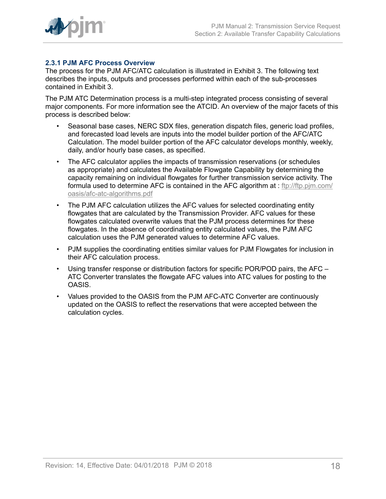

### <span id="page-17-0"></span>**2.3.1 PJM AFC Process Overview**

The process for the PJM AFC/ATC calculation is illustrated in Exhibit 3. The following text describes the inputs, outputs and processes performed within each of the sub-processes contained in Exhibit 3.

The PJM ATC Determination process is a multi-step integrated process consisting of several major components. For more information see the ATCID. An overview of the major facets of this process is described below:

- Seasonal base cases, NERC SDX files, generation dispatch files, generic load profiles, and forecasted load levels are inputs into the model builder portion of the AFC/ATC Calculation. The model builder portion of the AFC calculator develops monthly, weekly, daily, and/or hourly base cases, as specified.
- The AFC calculator applies the impacts of transmission reservations (or schedules as appropriate) and calculates the Available Flowgate Capability by determining the capacity remaining on individual flowgates for further transmission service activity. The formula used to determine AFC is contained in the AFC algorithm at : [ftp://ftp.pjm.com/](#page-0-0) [oasis/afc-atc-algorithms.pdf](#page-0-0)
- The PJM AFC calculation utilizes the AFC values for selected coordinating entity flowgates that are calculated by the Transmission Provider. AFC values for these flowgates calculated overwrite values that the PJM process determines for these flowgates. In the absence of coordinating entity calculated values, the PJM AFC calculation uses the PJM generated values to determine AFC values.
- PJM supplies the coordinating entities similar values for PJM Flowgates for inclusion in their AFC calculation process.
- Using transfer response or distribution factors for specific POR/POD pairs, the AFC ATC Converter translates the flowgate AFC values into ATC values for posting to the OASIS.
- Values provided to the OASIS from the PJM AFC-ATC Converter are continuously updated on the OASIS to reflect the reservations that were accepted between the calculation cycles.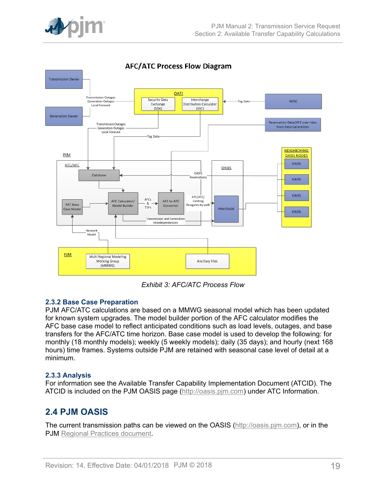

**OASIS** 

OASIS

<span id="page-18-3"></span>**Transmission Owne OATL Transmission Outages** Interchange Security Dat Generation Outages<br>Local Forecast **NFRC** Distribution Calculator Exchange (SDX)  $(IDC)$ **Generation Owner** Reservation Data/AFC overrides **Transmission Outages** from External entities **Generation Outages** Local Forecast Tag Data **NEIGHBORING** PJM **OASIS NODES** OASIS ATC/AFC **OASIS** OASIS Database OASIS

AFC to ATC

Converter

Transmission and Generatio Interdependencie

AFCs

&

**TDES** 

AFC Calculator/

Model Builder

### **AFC/ATC Process Flow Diagram**

*Exhibit 3: AFC/ATC Process Flow*

Ancillary Files

ATC/AFC/

flowgates by path

**PJM OASIS** 

Limiti

#### <span id="page-18-0"></span>**2.3.2 Base Case Preparation**

Network Model

Multi Regional Modeling

Working Group (MMWG)

PJM AFC/ATC calculations are based on a MMWG seasonal model which has been updated for known system upgrades. The model builder portion of the AFC calculator modifies the AFC base case model to reflect anticipated conditions such as load levels, outages, and base transfers for the AFC/ATC time horizon. Base case model is used to develop the following: for monthly (18 monthly models); weekly (5 weekly models); daily (35 days); and hourly (next 168 hours) time frames. Systems outside PJM are retained with seasonal case level of detail at a minimum.

### <span id="page-18-1"></span>**2.3.3 Analysis**

AFC Base

Case Mode

**PJM** 

For information see the Available Transfer Capability Implementation Document (ATCID). The ATCID is included on the PJM OASIS page ([http://oasis.pjm.com](http://oasis.pjm.com/)) under ATC Information.

# <span id="page-18-2"></span>**2.4 PJM OASIS**

The current transmission paths can be viewed on the OASIS [\(http://oasis.pjm.com\)](http://oasis.pjm.com/), or in the PJM [Regional Practices document](http://www.pjm.com/-/media/etools/oasis/regional-practices-clean-pdf.ashx?la=en).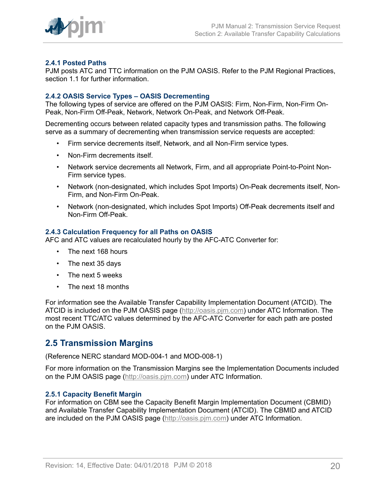

### <span id="page-19-0"></span>**2.4.1 Posted Paths**

PJM posts ATC and TTC information on the PJM OASIS. Refer to the PJM Regional Practices, section 1.1 for further information.

#### <span id="page-19-1"></span>**2.4.2 OASIS Service Types – OASIS Decrementing**

The following types of service are offered on the PJM OASIS: Firm, Non-Firm, Non-Firm On-Peak, Non-Firm Off-Peak, Network, Network On-Peak, and Network Off-Peak.

Decrementing occurs between related capacity types and transmission paths. The following serve as a summary of decrementing when transmission service requests are accepted:

- Firm service decrements itself, Network, and all Non-Firm service types.
- Non-Firm decrements itself.
- Network service decrements all Network, Firm, and all appropriate Point-to-Point Non-Firm service types.
- Network (non-designated, which includes Spot Imports) On-Peak decrements itself, Non-Firm, and Non-Firm On-Peak.
- Network (non-designated, which includes Spot Imports) Off-Peak decrements itself and Non-Firm Off-Peak.

#### <span id="page-19-2"></span>**2.4.3 Calculation Frequency for all Paths on OASIS**

AFC and ATC values are recalculated hourly by the AFC-ATC Converter for:

- The next 168 hours
- The next 35 days
- The next 5 weeks
- The next 18 months

For information see the Available Transfer Capability Implementation Document (ATCID). The ATCID is included on the PJM OASIS page ([http://oasis.pjm.com](http://oasis.pjm.com/)) under ATC Information. The most recent TTC/ATC values determined by the AFC-ATC Converter for each path are posted on the PJM OASIS.

## <span id="page-19-3"></span>**2.5 Transmission Margins**

(Reference NERC standard MOD-004-1 and MOD-008-1)

For more information on the Transmission Margins see the Implementation Documents included on the PJM OASIS page [\(http://oasis.pjm.com](http://oasis.pjm.com/)) under ATC Information.

#### <span id="page-19-4"></span>**2.5.1 Capacity Benefit Margin**

For information on CBM see the Capacity Benefit Margin Implementation Document (CBMID) and Available Transfer Capability Implementation Document (ATCID). The CBMID and ATCID are included on the PJM OASIS page [\(http://oasis.pjm.com](http://oasis.pjm.com/)) under ATC Information.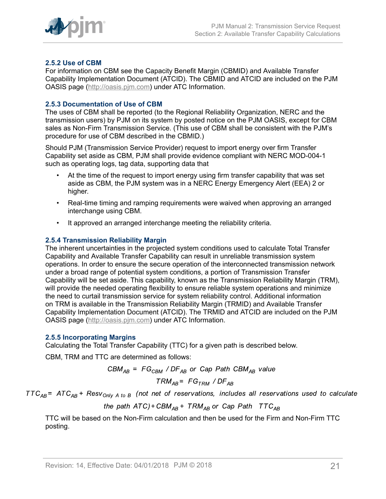

## <span id="page-20-0"></span>**2.5.2 Use of CBM**

For information on CBM see the Capacity Benefit Margin (CBMID) and Available Transfer Capability Implementation Document (ATCID). The CBMID and ATCID are included on the PJM OASIS page ([http://oasis.pjm.com\)](http://oasis.pjm.com/) under ATC Information.

### <span id="page-20-1"></span>**2.5.3 Documentation of Use of CBM**

The uses of CBM shall be reported (to the Regional Reliability Organization, NERC and the transmission users) by PJM on its system by posted notice on the PJM OASIS, except for CBM sales as Non-Firm Transmission Service. (This use of CBM shall be consistent with the PJM's procedure for use of CBM described in the CBMID.)

Should PJM (Transmission Service Provider) request to import energy over firm Transfer Capability set aside as CBM, PJM shall provide evidence compliant with NERC MOD-004-1 such as operating logs, tag data, supporting data that

- At the time of the request to import energy using firm transfer capability that was set aside as CBM, the PJM system was in a NERC Energy Emergency Alert (EEA) 2 or higher.
- Real-time timing and ramping requirements were waived when approving an arranged interchange using CBM.
- It approved an arranged interchange meeting the reliability criteria.

### <span id="page-20-2"></span>**2.5.4 Transmission Reliability Margin**

The inherent uncertainties in the projected system conditions used to calculate Total Transfer Capability and Available Transfer Capability can result in unreliable transmission system operations. In order to ensure the secure operation of the interconnected transmission network under a broad range of potential system conditions, a portion of Transmission Transfer Capability will be set aside. This capability, known as the Transmission Reliability Margin (TRM), will provide the needed operating flexibility to ensure reliable system operations and minimize the need to curtail transmission service for system reliability control. Additional information on TRM is available in the Transmission Reliability Margin (TRMID) and Available Transfer Capability Implementation Document (ATCID). The TRMID and ATCID are included on the PJM OASIS page ([http://oasis.pjm.com\)](http://oasis.pjm.com/) under ATC Information.

### <span id="page-20-3"></span>**2.5.5 Incorporating Margins**

Calculating the Total Transfer Capability (TTC) for a given path is described below.

CBM, TRM and TTC are determined as follows:

$$
CBM_{AB} = FG_{CBM} / DF_{AB}
$$
 or Cap Path  $CBM_{AB}$  value

$$
TRM_{AB} = FG_{TRM} / DF_{AB}
$$

 $TTC_{AB}$  = ATC<sub>AB</sub> + Resv<sub>Only A to B</sub> (not net of reservations, includes all reservations used to calculate

the path 
$$
ATC
$$
 +  $CBM_{AB}$  +  $TRM_{AB}$  or Cap Path  $TTC_{AB}$ 

TTC will be based on the Non-Firm calculation and then be used for the Firm and Non-Firm TTC posting.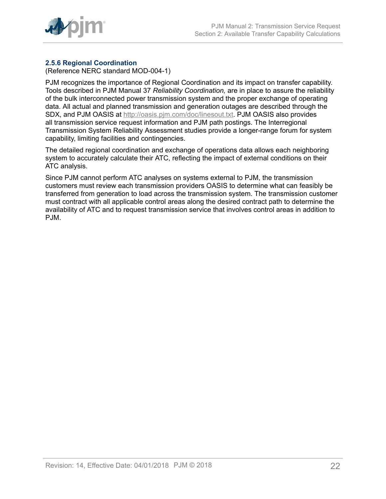

### <span id="page-21-0"></span>**2.5.6 Regional Coordination**

(Reference NERC standard MOD-004-1)

PJM recognizes the importance of Regional Coordination and its impact on transfer capability. Tools described in PJM Manual 37 *Reliability Coordination,* are in place to assure the reliability of the bulk interconnected power transmission system and the proper exchange of operating data. All actual and planned transmission and generation outages are described through the SDX, and PJM OASIS at <http://oasis.pjm.com/doc/linesout.txt>. PJM OASIS also provides all transmission service request information and PJM path postings. The Interregional Transmission System Reliability Assessment studies provide a longer-range forum for system capability, limiting facilities and contingencies.

The detailed regional coordination and exchange of operations data allows each neighboring system to accurately calculate their ATC, reflecting the impact of external conditions on their ATC analysis.

Since PJM cannot perform ATC analyses on systems external to PJM, the transmission customers must review each transmission providers OASIS to determine what can feasibly be transferred from generation to load across the transmission system. The transmission customer must contract with all applicable control areas along the desired contract path to determine the availability of ATC and to request transmission service that involves control areas in addition to PJM.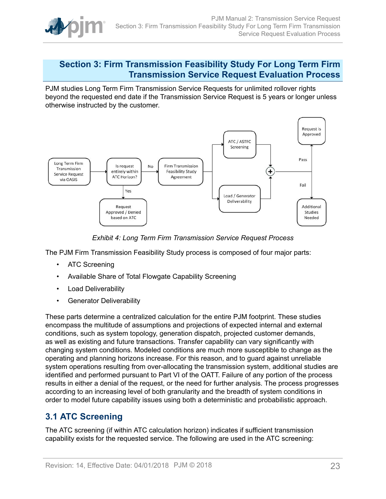

# <span id="page-22-0"></span>**Section 3: Firm Transmission Feasibility Study For Long Term Firm Transmission Service Request Evaluation Process**

PJM studies Long Term Firm Transmission Service Requests for unlimited rollover rights beyond the requested end date if the Transmission Service Request is 5 years or longer unless otherwise instructed by the customer.

<span id="page-22-2"></span>

*Exhibit 4: Long Term Firm Transmission Service Request Process*

The PJM Firm Transmission Feasibility Study process is composed of four major parts:

- ATC Screening
- Available Share of Total Flowgate Capability Screening
- Load Deliverability
- Generator Deliverability

These parts determine a centralized calculation for the entire PJM footprint. These studies encompass the multitude of assumptions and projections of expected internal and external conditions, such as system topology, generation dispatch, projected customer demands, as well as existing and future transactions. Transfer capability can vary significantly with changing system conditions. Modeled conditions are much more susceptible to change as the operating and planning horizons increase. For this reason, and to guard against unreliable system operations resulting from over-allocating the transmission system, additional studies are identified and performed pursuant to Part VI of the OATT. Failure of any portion of the process results in either a denial of the request, or the need for further analysis. The process progresses according to an increasing level of both granularity and the breadth of system conditions in order to model future capability issues using both a deterministic and probabilistic approach.

# <span id="page-22-1"></span>**3.1 ATC Screening**

The ATC screening (if within ATC calculation horizon) indicates if sufficient transmission capability exists for the requested service. The following are used in the ATC screening: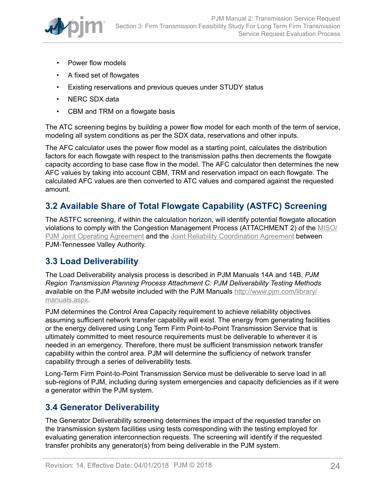

- Power flow models
- A fixed set of flowgates
- Existing reservations and previous queues under STUDY status
- NERC SDX data
- CBM and TRM on a flowgate basis

The ATC screening begins by building a power flow model for each month of the term of service, modeling all system conditions as per the SDX data, reservations and other inputs.

The AFC calculator uses the power flow model as a starting point, calculates the distribution factors for each flowgate with respect to the transmission paths then decrements the flowgate capacity according to base case flow in the model. The AFC calculator then determines the new AFC values by taking into account CBM, TRM and reservation impact on each flowgate. The calculated AFC values are then converted to ATC values and compared against the requested amount.

# <span id="page-23-0"></span>**3.2 Available Share of Total Flowgate Capability (ASTFC) Screening**

The ASTFC screening, if within the calculation horizon, will identify potential flowgate allocation violations to comply with the Congestion Management Process (ATTACHMENT 2) of the [MISO/](http://www.pjm.com/directory/merged-tariffs/miso-joa.pdf) [PJM Joint Operating Agreement](http://www.pjm.com/directory/merged-tariffs/miso-joa.pdf) and the [Joint Reliability Coordination Agreement](http://www.pjm.com/-/media/documents/agreements/joint-reliability-coordination-agreement-miso-pjm-tva.ashx?la=en) between PJM-Tennessee Valley Authority.

# <span id="page-23-1"></span>**3.3 Load Deliverability**

The Load Deliverability analysis process is described in PJM Manuals 14A and 14B, *PJM Region Transmission Planning Process Attachment C: PJM Deliverability Testing Methods* available on the PJM website included with the PJM Manuals [http://www.pjm.com/library/](http://www.pjm.com/library/manuals.aspx) [manuals.aspx.](http://www.pjm.com/library/manuals.aspx)

PJM determines the Control Area Capacity requirement to achieve reliability objectives assuming sufficient network transfer capability will exist. The energy from generating facilities or the energy delivered using Long Term Firm Point-to-Point Transmission Service that is ultimately committed to meet resource requirements must be deliverable to wherever it is needed in an emergency. Therefore, there must be sufficient transmission network transfer capability within the control area. PJM will determine the sufficiency of network transfer capability through a series of deliverability tests.

Long-Term Firm Point-to-Point Transmission Service must be deliverable to serve load in all sub-regions of PJM, including during system emergencies and capacity deficiencies as if it were a generator within the PJM system.

# <span id="page-23-2"></span>**3.4 Generator Deliverability**

The Generator Deliverability screening determines the impact of the requested transfer on the transmission system facilities using tests corresponding with the testing employed for evaluating generation interconnection requests. The screening will identify if the requested transfer prohibits any generator(s) from being deliverable in the PJM system.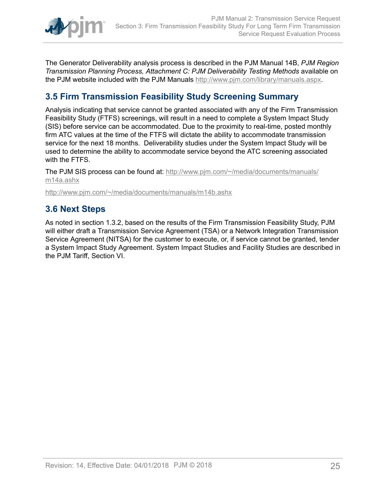

The Generator Deliverability analysis process is described in the PJM Manual 14B, *PJM Region Transmission Planning Process, Attachment C: PJM Deliverability Testing Methods* available on the PJM website included with the PJM Manuals<http://www.pjm.com/library/manuals.aspx>.

# <span id="page-24-0"></span>**3.5 Firm Transmission Feasibility Study Screening Summary**

Analysis indicating that service cannot be granted associated with any of the Firm Transmission Feasibility Study (FTFS) screenings, will result in a need to complete a System Impact Study (SIS) before service can be accommodated. Due to the proximity to real-time, posted monthly firm ATC values at the time of the FTFS will dictate the ability to accommodate transmission service for the next 18 months. Deliverability studies under the System Impact Study will be used to determine the ability to accommodate service beyond the ATC screening associated with the FTFS.

The PJM SIS process can be found at: [http://www.pjm.com/~/media/documents/manuals/](http://www.pjm.com/~/media/documents/manuals/m14a.ashx) [m14a.ashx](http://www.pjm.com/~/media/documents/manuals/m14a.ashx)

<http://www.pjm.com/~/media/documents/manuals/m14b.ashx>

# <span id="page-24-1"></span>**3.6 Next Steps**

As noted in section 1.3.2, based on the results of the Firm Transmission Feasibility Study, PJM will either draft a Transmission Service Agreement (TSA) or a Network Integration Transmission Service Agreement (NITSA) for the customer to execute, or, if service cannot be granted, tender a System Impact Study Agreement. System Impact Studies and Facility Studies are described in the PJM Tariff, Section VI.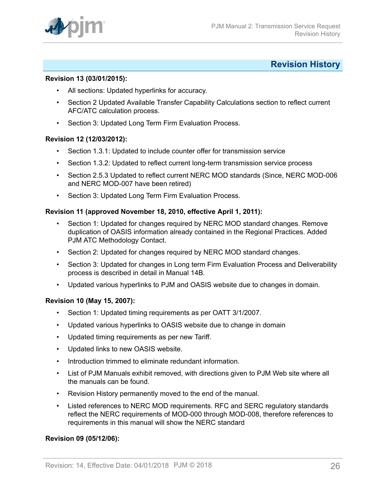

# <span id="page-25-0"></span>**Revision History**

#### **Revision 13 (03/01/2015):**

- All sections: Updated hyperlinks for accuracy.
- Section 2 Updated Available Transfer Capability Calculations section to reflect current AFC/ATC calculation process.
- Section 3: Updated Long Term Firm Evaluation Process.

### **Revision 12 (12/03/2012):**

- Section 1.3.1: Updated to include counter offer for transmission service
- Section 1.3.2: Updated to reflect current long-term transmission service process
- Section 2.5.3 Updated to reflect current NERC MOD standards (Since, NERC MOD-006 and NERC MOD-007 have been retired)
- Section 3: Updated Long Term Firm Evaluation Process.

#### **Revision 11 (approved November 18, 2010, effective April 1, 2011):**

- Section 1: Updated for changes required by NERC MOD standard changes. Remove duplication of OASIS information already contained in the Regional Practices. Added PJM ATC Methodology Contact.
- Section 2: Updated for changes required by NERC MOD standard changes.
- Section 3: Updated for changes in Long term Firm Evaluation Process and Deliverability process is described in detail in Manual 14B.
- Updated various hyperlinks to PJM and OASIS website due to changes in domain.

#### **Revision 10 (May 15, 2007):**

- Section 1: Updated timing requirements as per OATT 3/1/2007.
- Updated various hyperlinks to OASIS website due to change in domain
- Updated timing requirements as per new Tariff.
- Updated links to new OASIS website.
- Introduction trimmed to eliminate redundant information.
- List of PJM Manuals exhibit removed, with directions given to PJM Web site where all the manuals can be found.
- Revision History permanently moved to the end of the manual.
- Listed references to NERC MOD requirements. RFC and SERC regulatory standards reflect the NERC requirements of MOD-000 through MOD-008, therefore references to requirements in this manual will show the NERC standard

#### **Revision 09 (05/12/06):**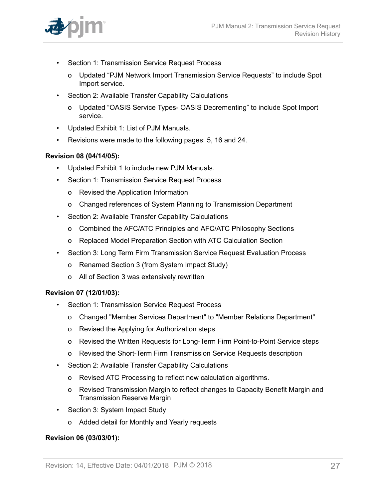

- Section 1: Transmission Service Request Process
	- o Updated "PJM Network Import Transmission Service Requests" to include Spot Import service.
- Section 2: Available Transfer Capability Calculations
	- o Updated "OASIS Service Types- OASIS Decrementing" to include Spot Import service.
- Updated Exhibit 1: List of PJM Manuals.
- Revisions were made to the following pages: 5, 16 and 24.

### **Revision 08 (04/14/05):**

- Updated Exhibit 1 to include new PJM Manuals.
- Section 1: Transmission Service Request Process
	- o Revised the Application Information
	- o Changed references of System Planning to Transmission Department
- Section 2: Available Transfer Capability Calculations
	- o Combined the AFC/ATC Principles and AFC/ATC Philosophy Sections
	- o Replaced Model Preparation Section with ATC Calculation Section
- Section 3: Long Term Firm Transmission Service Request Evaluation Process
	- o Renamed Section 3 (from System Impact Study)
	- o All of Section 3 was extensively rewritten

### **Revision 07 (12/01/03):**

- Section 1: Transmission Service Request Process
	- o Changed "Member Services Department" to "Member Relations Department"
	- o Revised the Applying for Authorization steps
	- o Revised the Written Requests for Long-Term Firm Point-to-Point Service steps
	- o Revised the Short-Term Firm Transmission Service Requests description
- Section 2: Available Transfer Capability Calculations
	- o Revised ATC Processing to reflect new calculation algorithms.
	- o Revised Transmission Margin to reflect changes to Capacity Benefit Margin and Transmission Reserve Margin
- Section 3: System Impact Study
	- o Added detail for Monthly and Yearly requests

### **Revision 06 (03/03/01):**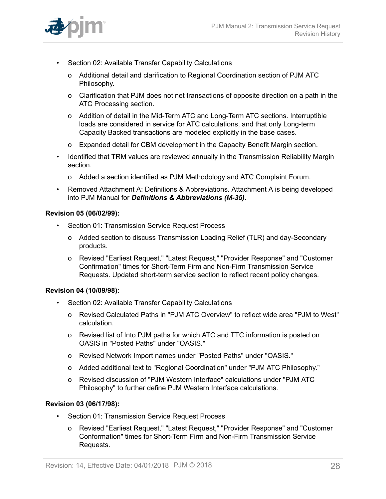

- Section 02: Available Transfer Capability Calculations
	- o Additional detail and clarification to Regional Coordination section of PJM ATC Philosophy.
	- o Clarification that PJM does not net transactions of opposite direction on a path in the ATC Processing section.
	- o Addition of detail in the Mid-Term ATC and Long-Term ATC sections. Interruptible loads are considered in service for ATC calculations, and that only Long-term Capacity Backed transactions are modeled explicitly in the base cases.
	- o Expanded detail for CBM development in the Capacity Benefit Margin section.
- Identified that TRM values are reviewed annually in the Transmission Reliability Margin section.
	- o Added a section identified as PJM Methodology and ATC Complaint Forum.
- Removed Attachment A: Definitions & Abbreviations. Attachment A is being developed into PJM Manual for *Definitions & Abbreviations (M-35)*.

#### **Revision 05 (06/02/99):**

- Section 01: Transmission Service Request Process
	- o Added section to discuss Transmission Loading Relief (TLR) and day-Secondary products.
	- o Revised "Earliest Request," "Latest Request," "Provider Response" and "Customer Confirmation" times for Short-Term Firm and Non-Firm Transmission Service Requests. Updated short-term service section to reflect recent policy changes.

#### **Revision 04 (10/09/98):**

- Section 02: Available Transfer Capability Calculations
	- o Revised Calculated Paths in "PJM ATC Overview" to reflect wide area "PJM to West" calculation.
	- o Revised list of Into PJM paths for which ATC and TTC information is posted on OASIS in "Posted Paths" under "OASIS."
	- o Revised Network Import names under "Posted Paths" under "OASIS."
	- o Added additional text to "Regional Coordination" under "PJM ATC Philosophy."
	- o Revised discussion of "PJM Western Interface" calculations under "PJM ATC Philosophy" to further define PJM Western Interface calculations.

### **Revision 03 (06/17/98):**

- Section 01: Transmission Service Request Process
	- o Revised "Earliest Request," "Latest Request," "Provider Response" and "Customer Conformation" times for Short-Term Firm and Non-Firm Transmission Service Requests.